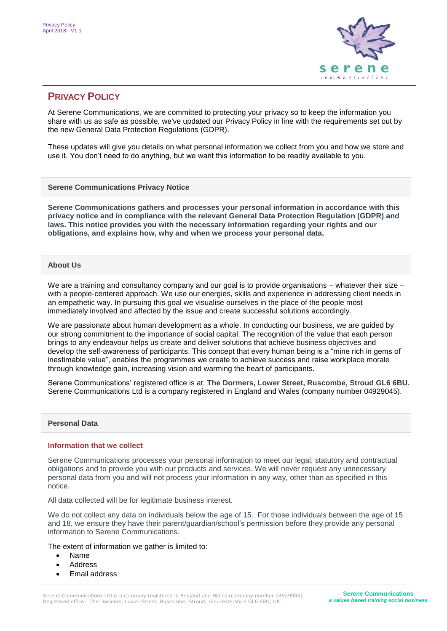

# **PRIVACY POLICY**

At Serene Communications, we are committed to protecting your privacy so to keep the information you share with us as safe as possible, we've updated our Privacy Policy in line with the requirements set out by the new General Data Protection Regulations (GDPR).

These updates will give you details on what personal information we collect from you and how we store and use it. You don't need to do anything, but we want this information to be readily available to you.

**Serene Communications Privacy Notice**

**Serene Communications gathers and processes your personal information in accordance with this privacy notice and in compliance with the relevant General Data Protection Regulation (GDPR) and laws. This notice provides you with the necessary information regarding your rights and our obligations, and explains how, why and when we process your personal data.**

## **About Us**

We are a training and consultancy company and our goal is to provide organisations – whatever their size – with a people-centered approach. We use our energies, skills and experience in addressing client needs in an empathetic way. In pursuing this goal we visualise ourselves in the place of the people most immediately involved and affected by the issue and create successful solutions accordingly.

We are passionate about human development as a whole. In conducting our business, we are guided by our strong commitment to the importance of social capital. The recognition of the value that each person brings to any endeavour helps us create and deliver solutions that achieve business objectives and develop the self-awareness of participants. This concept that every human being is a "mine rich in gems of inestimable value", enables the programmes we create to achieve success and raise workplace morale through knowledge gain, increasing vision and warming the heart of participants.

Serene Communications' registered office is at: **The Dormers, Lower Street, Ruscombe, Stroud GL6 6BU.**  Serene Communications Ltd is a company registered in England and Wales (company number 04929045).

### **Personal Data**

### **Information that we collect**

Serene Communications processes your personal information to meet our legal, statutory and contractual obligations and to provide you with our products and services. We will never request any unnecessary personal data from you and will not process your information in any way, other than as specified in this notice.

All data collected will be for legitimate business interest.

We do not collect any data on individuals below the age of 15. For those individuals between the age of 15 and 18, we ensure they have their parent/guardian/school's permission before they provide any personal information to Serene Communications.

The extent of information we gather is limited to:

- Name
- Address
- Email address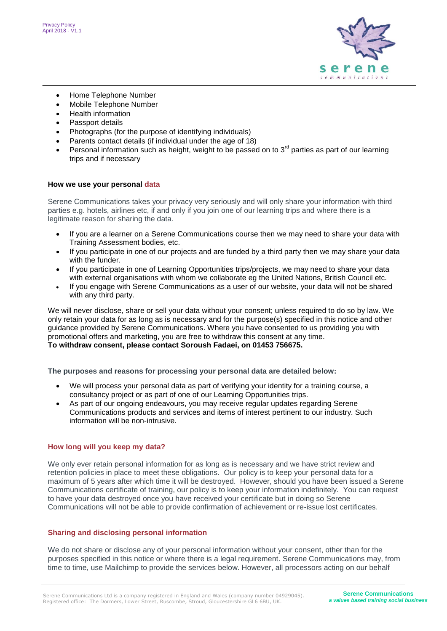

- Home Telephone Number
- Mobile Telephone Number
- Health information
- Passport details
- Photographs (for the purpose of identifying individuals)
- Parents contact details (if individual under the age of 18)
- Personal information such as height, weight to be passed on to  $3<sup>rd</sup>$  parties as part of our learning trips and if necessary

#### **How we use your personal data**

Serene Communications takes your privacy very seriously and will only share your information with third parties e.g. hotels, airlines etc, if and only if you join one of our learning trips and where there is a legitimate reason for sharing the data.

- If you are a learner on a Serene Communications course then we may need to share your data with Training Assessment bodies, etc.
- If you participate in one of our projects and are funded by a third party then we may share your data with the funder.
- If you participate in one of Learning Opportunities trips/projects, we may need to share your data with external organisations with whom we collaborate eg the United Nations, British Council etc.
- If you engage with Serene Communications as a user of our website, your data will not be shared with any third party.

We will never disclose, share or sell your data without your consent; unless required to do so by law. We only retain your data for as long as is necessary and for the purpose(s) specified in this notice and other guidance provided by Serene Communications. Where you have consented to us providing you with promotional offers and marketing, you are free to withdraw this consent at any time. **To withdraw consent, please contact Soroush Fadaei, on 01453 756675.**

**The purposes and reasons for processing your personal data are detailed below:**

- We will process your personal data as part of verifying your identity for a training course, a consultancy project or as part of one of our Learning Opportunities trips.
- As part of our ongoing endeavours, you may receive regular updates regarding Serene Communications products and services and items of interest pertinent to our industry. Such information will be non-intrusive.

### **How long will you keep my data?**

We only ever retain personal information for as long as is necessary and we have strict review and retention policies in place to meet these obligations. Our policy is to keep your personal data for a maximum of 5 years after which time it will be destroyed. However, should you have been issued a Serene Communications certificate of training, our policy is to keep your information indefinitely. You can request to have your data destroyed once you have received your certificate but in doing so Serene Communications will not be able to provide confirmation of achievement or re-issue lost certificates.

### **Sharing and disclosing personal information**

We do not share or disclose any of your personal information without your consent, other than for the purposes specified in this notice or where there is a legal requirement. Serene Communications may, from time to time, use Mailchimp to provide the services below. However, all processors acting on our behalf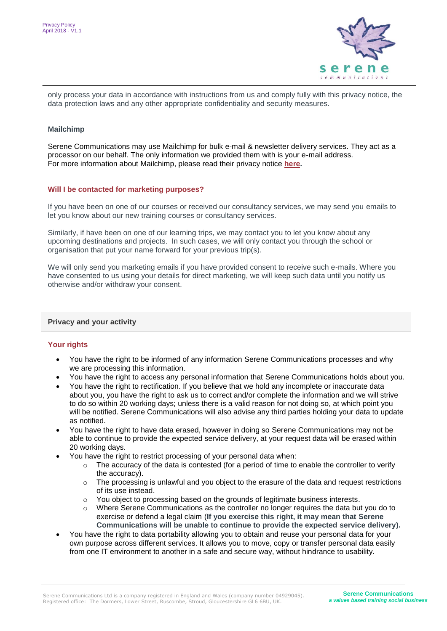

only process your data in accordance with instructions from us and comply fully with this privacy notice, the data protection laws and any other appropriate confidentiality and security measures.

#### **Mailchimp**

Serene Communications may use Mailchimp for bulk e-mail & newsletter delivery services. They act as a processor on our behalf. The only information we provided them with is your e-mail address. For more information about Mailchimp, please read their privacy notice **[here.](https://blog.mailchimp.com/tag/data-privacy/?_ga=2.20160443.2091608140.1529674369-1553264893.1529674369)**

#### **Will I be contacted for marketing purposes?**

If you have been on one of our courses or received our consultancy services, we may send you emails to let you know about our new training courses or consultancy services.

Similarly, if have been on one of our learning trips, we may contact you to let you know about any upcoming destinations and projects. In such cases, we will only contact you through the school or organisation that put your name forward for your previous trip(s).

We will only send you marketing emails if you have provided consent to receive such e-mails. Where you have consented to us using your details for direct marketing, we will keep such data until you notify us otherwise and/or withdraw your consent.

#### **Privacy and your activity**

### **Your rights**

- You have the right to be informed of any information Serene Communications processes and why we are processing this information.
- You have the right to access any personal information that Serene Communications holds about you.
- You have the right to rectification. If you believe that we hold any incomplete or inaccurate data about you, you have the right to ask us to correct and/or complete the information and we will strive to do so within 20 working days; unless there is a valid reason for not doing so, at which point you will be notified. Serene Communications will also advise any third parties holding your data to update as notified.
- You have the right to have data erased, however in doing so Serene Communications may not be able to continue to provide the expected service delivery, at your request data will be erased within 20 working days.
- You have the right to restrict processing of your personal data when:
	- $\circ$  The accuracy of the data is contested (for a period of time to enable the controller to verify the accuracy).
	- $\circ$  The processing is unlawful and you object to the erasure of the data and request restrictions of its use instead.
	- o You object to processing based on the grounds of legitimate business interests.
	- $\circ$  Where Serene Communications as the controller no longer requires the data but you do to exercise or defend a legal claim (**If you exercise this right, it may mean that Serene Communications will be unable to continue to provide the expected service delivery).**
- You have the right to data portability allowing you to obtain and reuse your personal data for your own purpose across different services. It allows you to move, copy or transfer personal data easily from one IT environment to another in a safe and secure way, without hindrance to usability.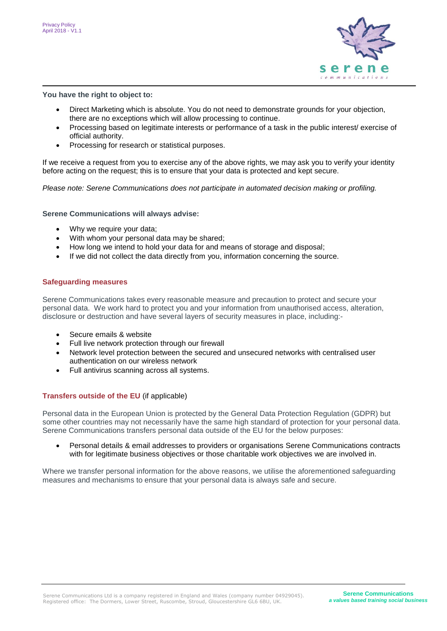

**You have the right to object to:**

- Direct Marketing which is absolute. You do not need to demonstrate grounds for your objection, there are no exceptions which will allow processing to continue.
- Processing based on legitimate interests or performance of a task in the public interest/ exercise of official authority.
- Processing for research or statistical purposes.

If we receive a request from you to exercise any of the above rights, we may ask you to verify your identity before acting on the request; this is to ensure that your data is protected and kept secure.

*Please note: Serene Communications does not participate in automated decision making or profiling.*

**Serene Communications will always advise:**

- Why we require your data;
- With whom your personal data may be shared;
- How long we intend to hold your data for and means of storage and disposal;
- If we did not collect the data directly from you, information concerning the source.

### **Safeguarding measures**

Serene Communications takes every reasonable measure and precaution to protect and secure your personal data. We work hard to protect you and your information from unauthorised access, alteration, disclosure or destruction and have several layers of security measures in place, including:-

- Secure emails & website
- Full live network protection through our firewall
- Network level protection between the secured and unsecured networks with centralised user authentication on our wireless network
- Full antivirus scanning across all systems.

### **Transfers outside of the EU** (if applicable)

Personal data in the European Union is protected by the General Data Protection Regulation (GDPR) but some other countries may not necessarily have the same high standard of protection for your personal data. Serene Communications transfers personal data outside of the EU for the below purposes:

 Personal details & email addresses to providers or organisations Serene Communications contracts with for legitimate business objectives or those charitable work objectives we are involved in.

Where we transfer personal information for the above reasons, we utilise the aforementioned safeguarding measures and mechanisms to ensure that your personal data is always safe and secure.